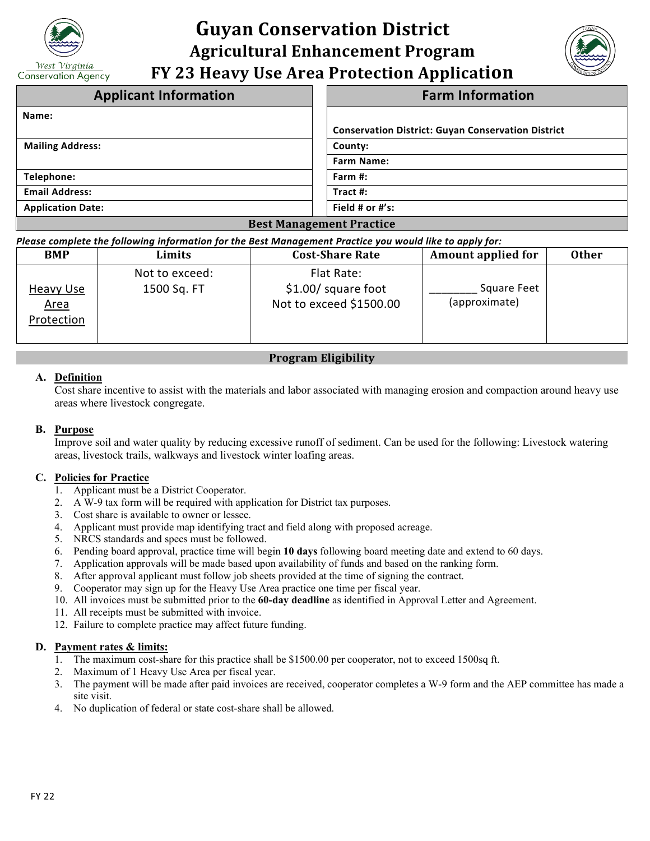

# **Guyan Conservation District Agricultural Enhancement Program**



| <b>Applicant Information</b> | <b>Farm Information</b>                                   |  |  |  |
|------------------------------|-----------------------------------------------------------|--|--|--|
| Name:                        |                                                           |  |  |  |
|                              | <b>Conservation District: Guyan Conservation District</b> |  |  |  |
| <b>Mailing Address:</b>      | County:                                                   |  |  |  |
|                              | <b>Farm Name:</b>                                         |  |  |  |
| Telephone:                   | Farm #:                                                   |  |  |  |
| <b>Email Address:</b>        | Tract #:                                                  |  |  |  |
| <b>Application Date:</b>     | Field # or $\#$ 's:                                       |  |  |  |
| ---                          |                                                           |  |  |  |

#### **Best Management Practice**

#### *Please complete the following information for the Best Management Practice you would like to apply for:*

| <b>BMP</b>                                    | Limits                        | <b>Cost-Share Rate</b>                                        | <b>Amount applied for</b>    | <b>Other</b> |
|-----------------------------------------------|-------------------------------|---------------------------------------------------------------|------------------------------|--------------|
| <b>Heavy Use</b><br><b>Area</b><br>Protection | Not to exceed:<br>1500 Sq. FT | Flat Rate:<br>$$1.00/$ square foot<br>Not to exceed \$1500.00 | Square Feet<br>(approximate) |              |

# **Program Eligibility**

#### **A. Definition**

Cost share incentive to assist with the materials and labor associated with managing erosion and compaction around heavy use areas where livestock congregate.

#### **B. Purpose**

Improve soil and water quality by reducing excessive runoff of sediment. Can be used for the following: Livestock watering areas, livestock trails, walkways and livestock winter loafing areas.

#### **C. Policies for Practice**

- 1. Applicant must be a District Cooperator.
- 2. A W-9 tax form will be required with application for District tax purposes.
- 3. Cost share is available to owner or lessee.
- 4. Applicant must provide map identifying tract and field along with proposed acreage.
- 5. NRCS standards and specs must be followed.
- 6. Pending board approval, practice time will begin **10 days** following board meeting date and extend to 60 days.
- 7. Application approvals will be made based upon availability of funds and based on the ranking form.
- 8. After approval applicant must follow job sheets provided at the time of signing the contract.
- 9. Cooperator may sign up for the Heavy Use Area practice one time per fiscal year.
- 10. All invoices must be submitted prior to the **60-day deadline** as identified in Approval Letter and Agreement.
- 11. All receipts must be submitted with invoice.
- 12. Failure to complete practice may affect future funding.

#### **D. Payment rates & limits:**

- 1. The maximum cost-share for this practice shall be \$1500.00 per cooperator, not to exceed 1500sq ft.
- 2. Maximum of 1 Heavy Use Area per fiscal year.
- 3. The payment will be made after paid invoices are received, cooperator completes a W-9 form and the AEP committee has made a site visit.
- 4. No duplication of federal or state cost-share shall be allowed.